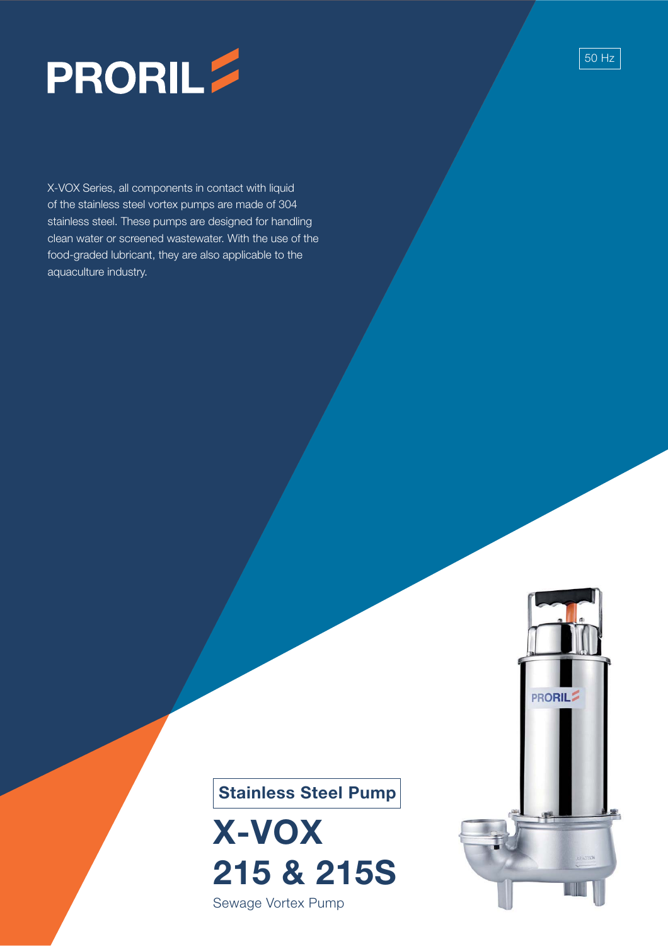

X-VOX Series, all components in contact with liquid of the stainless steel vortex pumps are made of 304 stainless steel. These pumps are designed for handling clean water or screened wastewater. With the use of the food-graded lubricant, they are also applicable to the aquaculture industry.



50 Hz



**X-VOX 215 & 215S**

Sewage Vortex Pump